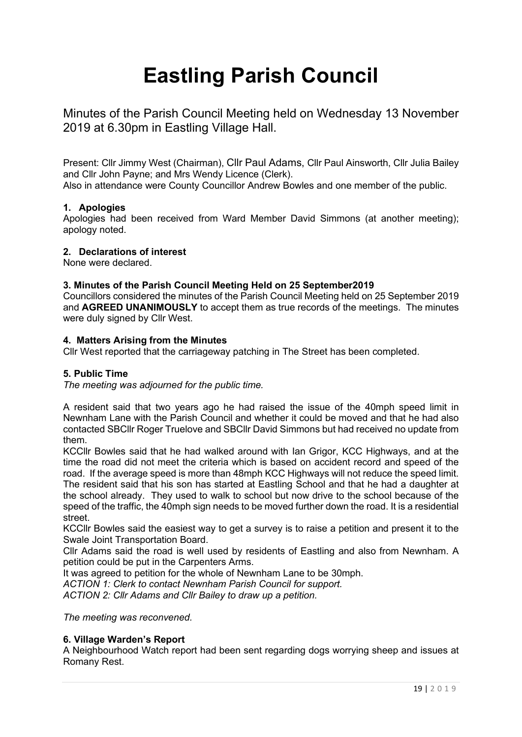# **Eastling Parish Council**

Minutes of the Parish Council Meeting held on Wednesday 13 November 2019 at 6.30pm in Eastling Village Hall.

Present: Cllr Jimmy West (Chairman), Cllr Paul Adams, Cllr Paul Ainsworth, Cllr Julia Bailey and Cllr John Payne; and Mrs Wendy Licence (Clerk).

Also in attendance were County Councillor Andrew Bowles and one member of the public.

## **1. Apologies**

Apologies had been received from Ward Member David Simmons (at another meeting); apology noted.

## **2. Declarations of interest**

None were declared.

## **3. Minutes of the Parish Council Meeting Held on 25 September2019**

Councillors considered the minutes of the Parish Council Meeting held on 25 September 2019 and **AGREED UNANIMOUSLY** to accept them as true records of the meetings. The minutes were duly signed by Cllr West.

## **4. Matters Arising from the Minutes**

Cllr West reported that the carriageway patching in The Street has been completed.

## **5. Public Time**

*The meeting was adjourned for the public time.*

A resident said that two years ago he had raised the issue of the 40mph speed limit in Newnham Lane with the Parish Council and whether it could be moved and that he had also contacted SBCllr Roger Truelove and SBCllr David Simmons but had received no update from them.

KCCllr Bowles said that he had walked around with Ian Grigor, KCC Highways, and at the time the road did not meet the criteria which is based on accident record and speed of the road. If the average speed is more than 48mph KCC Highways will not reduce the speed limit. The resident said that his son has started at Eastling School and that he had a daughter at the school already. They used to walk to school but now drive to the school because of the speed of the traffic, the 40mph sign needs to be moved further down the road. It is a residential street.

KCCllr Bowles said the easiest way to get a survey is to raise a petition and present it to the Swale Joint Transportation Board.

Cllr Adams said the road is well used by residents of Eastling and also from Newnham. A petition could be put in the Carpenters Arms.

It was agreed to petition for the whole of Newnham Lane to be 30mph.

*ACTION 1: Clerk to contact Newnham Parish Council for support.*

*ACTION 2: Cllr Adams and Cllr Bailey to draw up a petition.*

*The meeting was reconvened.*

## **6. Village Warden's Report**

A Neighbourhood Watch report had been sent regarding dogs worrying sheep and issues at Romany Rest.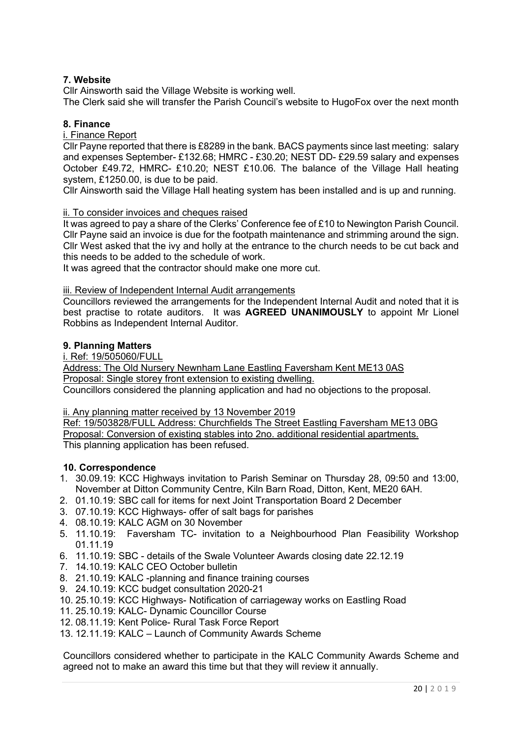# **7. Website**

Cllr Ainsworth said the Village Website is working well.

The Clerk said she will transfer the Parish Council's website to HugoFox over the next month

## **8. Finance**

#### i. Finance Report

Cllr Payne reported that there is £8289 in the bank. BACS payments since last meeting: salary and expenses September- £132.68; HMRC - £30.20; NEST DD- £29.59 salary and expenses October £49.72, HMRC- £10.20; NEST £10.06. The balance of the Village Hall heating system, £1250.00, is due to be paid.

Cllr Ainsworth said the Village Hall heating system has been installed and is up and running.

#### ii. To consider invoices and cheques raised

It was agreed to pay a share of the Clerks' Conference fee of £10 to Newington Parish Council. Cllr Payne said an invoice is due for the footpath maintenance and strimming around the sign. Cllr West asked that the ivy and holly at the entrance to the church needs to be cut back and this needs to be added to the schedule of work.

It was agreed that the contractor should make one more cut.

#### iii. Review of Independent Internal Audit arrangements

Councillors reviewed the arrangements for the Independent Internal Audit and noted that it is best practise to rotate auditors. It was **AGREED UNANIMOUSLY** to appoint Mr Lionel Robbins as Independent Internal Auditor.

#### **9. Planning Matters**

#### i. Ref: 19/505060/FULL

Address: The Old Nursery Newnham Lane Eastling Faversham Kent ME13 0AS Proposal: Single storey front extension to existing dwelling.

Councillors considered the planning application and had no objections to the proposal.

ii. Any planning matter received by 13 November 2019

Ref: 19/503828/FULL Address: Churchfields The Street Eastling Faversham ME13 0BG Proposal: Conversion of existing stables into 2no. additional residential apartments. This planning application has been refused.

## **10. Correspondence**

- 1. 30.09.19: KCC Highways invitation to Parish Seminar on Thursday 28, 09:50 and 13:00, November at Ditton Community Centre, Kiln Barn Road, Ditton, Kent, ME20 6AH.
- 2. 01.10.19: SBC call for items for next Joint Transportation Board 2 December
- 3. 07.10.19: KCC Highways- offer of salt bags for parishes
- 4. 08.10.19: KALC AGM on 30 November
- 5. 11.10.19: Faversham TC- invitation to a Neighbourhood Plan Feasibility Workshop 01.11.19
- 6. 11.10.19: SBC details of the Swale Volunteer Awards closing date 22.12.19
- 7. 14.10.19: KALC CEO October bulletin
- 8. 21.10.19: KALC -planning and finance training courses
- 9. 24.10.19: KCC budget consultation 2020-21
- 10. 25.10.19: KCC Highways- Notification of carriageway works on Eastling Road
- 11. 25.10.19: KALC- Dynamic Councillor Course
- 12. 08.11.19: Kent Police- Rural Task Force Report
- 13. 12.11.19: KALC Launch of Community Awards Scheme

Councillors considered whether to participate in the KALC Community Awards Scheme and agreed not to make an award this time but that they will review it annually.